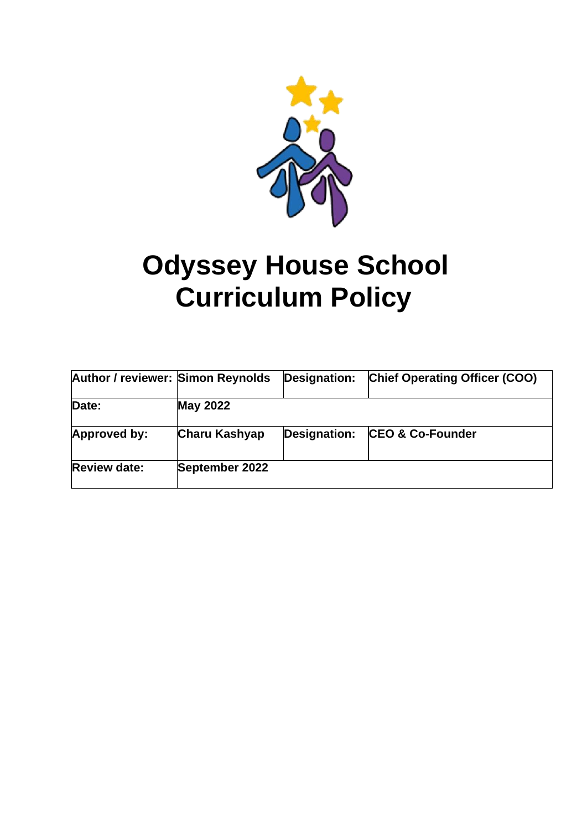

# **Odyssey House School Curriculum Policy**

| <b>Author / reviewer: Simon Reynolds</b> |                      | <b>Designation:</b> | <b>Chief Operating Officer (COO)</b> |
|------------------------------------------|----------------------|---------------------|--------------------------------------|
| Date:                                    | <b>May 2022</b>      |                     |                                      |
| Approved by:                             | <b>Charu Kashyap</b> | <b>Designation:</b> | <b>CEO &amp; Co-Founder</b>          |
| <b>Review date:</b>                      | September 2022       |                     |                                      |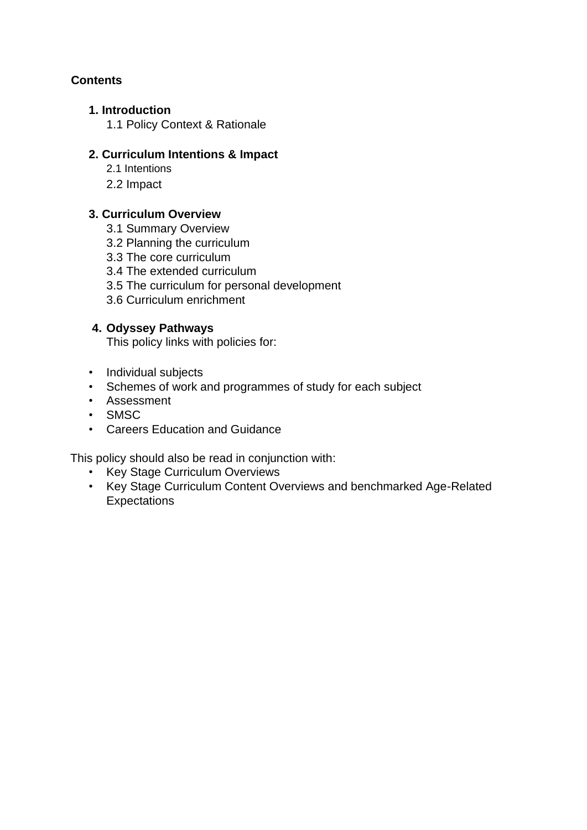## **Contents**

#### **1. Introduction**

1.1 Policy Context & Rationale

#### **2. Curriculum Intentions & Impact**

- 2.1 Intentions
- 2.2 Impact

### **3. Curriculum Overview**

- 3.1 Summary Overview
- 3.2 Planning the curriculum
- 3.3 The core curriculum
- 3.4 The extended curriculum
- 3.5 The curriculum for personal development
- 3.6 Curriculum enrichment

#### **4. Odyssey Pathways**

This policy links with policies for:

- Individual subjects
- Schemes of work and programmes of study for each subject
- Assessment
- SMSC
- Careers Education and Guidance

This policy should also be read in conjunction with:

- Key Stage Curriculum Overviews
- Key Stage Curriculum Content Overviews and benchmarked Age-Related **Expectations**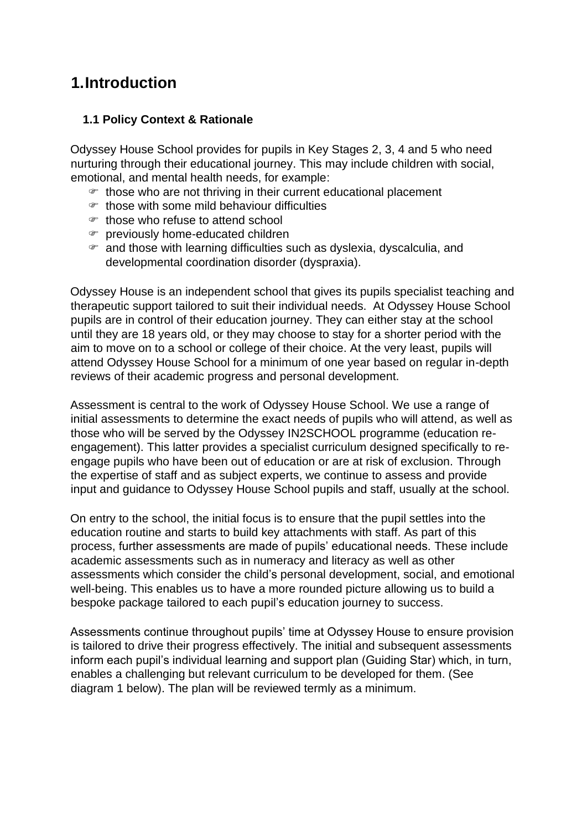# **1.Introduction**

#### **…1.1 Policy Context & Rationale**

Odyssey House School provides for pupils in Key Stages 2, 3, 4 and 5 who need nurturing through their educational journey. This may include children with social, emotional, and mental health needs, for example:

- $\mathcal F$  those who are not thriving in their current educational placement
- those with some mild behaviour difficulties
- those who refuse to attend school
- previously home-educated children
- $\infty$  and those with learning difficulties such as dyslexia, dyscalculia, and developmental coordination disorder (dyspraxia).

Odyssey House is an independent school that gives its pupils specialist teaching and therapeutic support tailored to suit their individual needs. At Odyssey House School pupils are in control of their education journey. They can either stay at the school until they are 18 years old, or they may choose to stay for a shorter period with the aim to move on to a school or college of their choice. At the very least, pupils will attend Odyssey House School for a minimum of one year based on regular in-depth reviews of their academic progress and personal development.

Assessment is central to the work of Odyssey House School. We use a range of initial assessments to determine the exact needs of pupils who will attend, as well as those who will be served by the Odyssey IN2SCHOOL programme (education reengagement). This latter provides a specialist curriculum designed specifically to reengage pupils who have been out of education or are at risk of exclusion. Through the expertise of staff and as subject experts, we continue to assess and provide input and guidance to Odyssey House School pupils and staff, usually at the school.

On entry to the school, the initial focus is to ensure that the pupil settles into the education routine and starts to build key attachments with staff. As part of this process, further assessments are made of pupils' educational needs. These include academic assessments such as in numeracy and literacy as well as other assessments which consider the child's personal development, social, and emotional well-being. This enables us to have a more rounded picture allowing us to build a bespoke package tailored to each pupil's education journey to success.

Assessments continue throughout pupils' time at Odyssey House to ensure provision is tailored to drive their progress effectively. The initial and subsequent assessments inform each pupil's individual learning and support plan (Guiding Star) which, in turn, enables a challenging but relevant curriculum to be developed for them. (See diagram 1 below). The plan will be reviewed termly as a minimum.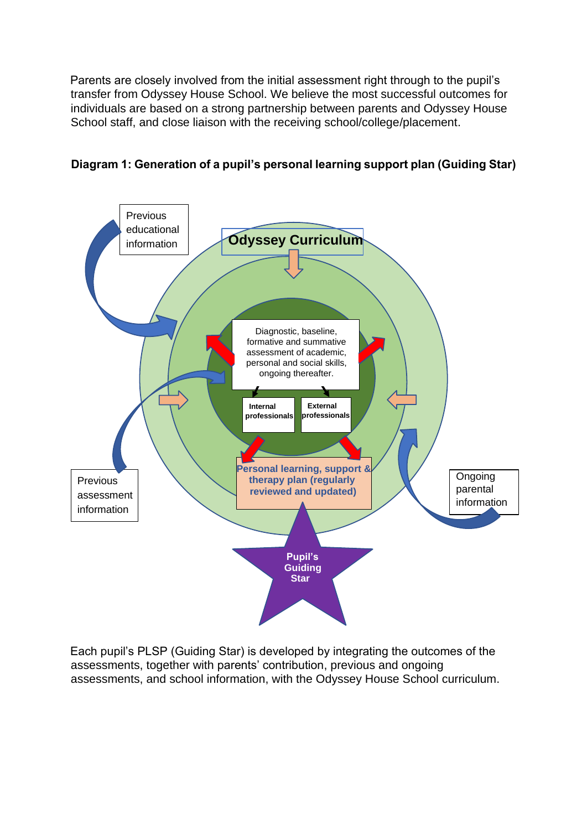Parents are closely involved from the initial assessment right through to the pupil's transfer from Odyssey House School. We believe the most successful outcomes for individuals are based on a strong partnership between parents and Odyssey House School staff, and close liaison with the receiving school/college/placement.



### **Diagram 1: Generation of a pupil's personal learning support plan (Guiding Star)**

Each pupil's PLSP (Guiding Star) is developed by integrating the outcomes of the assessments, together with parents' contribution, previous and ongoing assessments, and school information, with the Odyssey House School curriculum.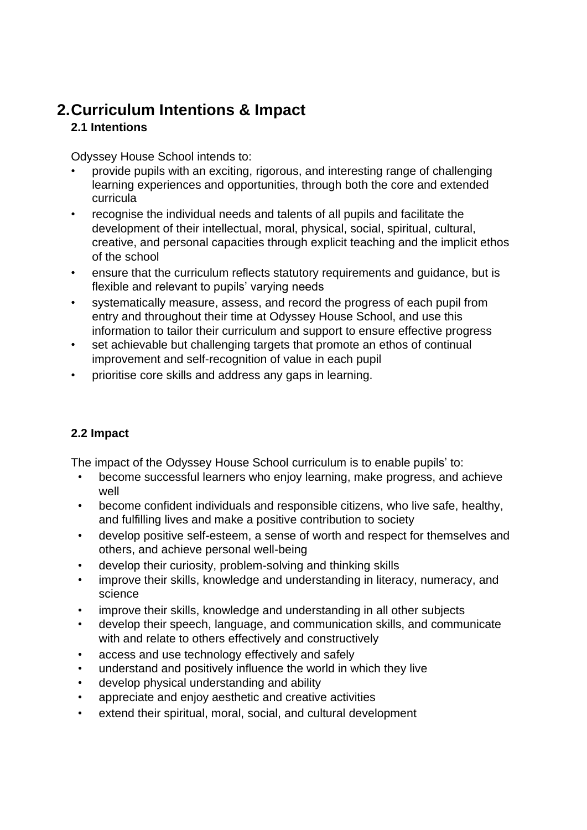# **2.Curriculum Intentions & Impact 2.1 Intentions**

Odyssey House School intends to:

- provide pupils with an exciting, rigorous, and interesting range of challenging learning experiences and opportunities, through both the core and extended curricula
- recognise the individual needs and talents of all pupils and facilitate the development of their intellectual, moral, physical, social, spiritual, cultural, creative, and personal capacities through explicit teaching and the implicit ethos of the school
- ensure that the curriculum reflects statutory requirements and guidance, but is flexible and relevant to pupils' varying needs
- systematically measure, assess, and record the progress of each pupil from entry and throughout their time at Odyssey House School, and use this information to tailor their curriculum and support to ensure effective progress
- set achievable but challenging targets that promote an ethos of continual improvement and self-recognition of value in each pupil
- prioritise core skills and address any gaps in learning.

#### **2.2 Impact**

The impact of the Odyssey House School curriculum is to enable pupils' to:

- become successful learners who enjoy learning, make progress, and achieve well
- become confident individuals and responsible citizens, who live safe, healthy, and fulfilling lives and make a positive contribution to society
- develop positive self-esteem, a sense of worth and respect for themselves and others, and achieve personal well-being
- develop their curiosity, problem-solving and thinking skills
- improve their skills, knowledge and understanding in literacy, numeracy, and science
- improve their skills, knowledge and understanding in all other subjects
- develop their speech, language, and communication skills, and communicate with and relate to others effectively and constructively
- access and use technology effectively and safely
- understand and positively influence the world in which they live
- develop physical understanding and ability
- appreciate and enjoy aesthetic and creative activities
- extend their spiritual, moral, social, and cultural development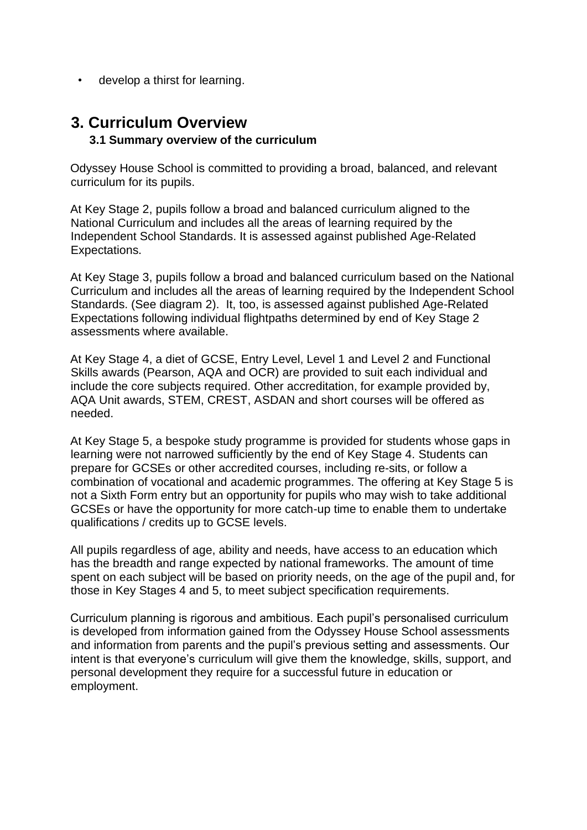develop a thirst for learning.

# **3. Curriculum Overview …..3.1 Summary overview of the curriculum**

Odyssey House School is committed to providing a broad, balanced, and relevant curriculum for its pupils.

At Key Stage 2, pupils follow a broad and balanced curriculum aligned to the National Curriculum and includes all the areas of learning required by the Independent School Standards. It is assessed against published Age-Related Expectations.

At Key Stage 3, pupils follow a broad and balanced curriculum based on the National Curriculum and includes all the areas of learning required by the Independent School Standards. (See diagram 2). It, too, is assessed against published Age-Related Expectations following individual flightpaths determined by end of Key Stage 2 assessments where available.

At Key Stage 4, a diet of GCSE, Entry Level, Level 1 and Level 2 and Functional Skills awards (Pearson, AQA and OCR) are provided to suit each individual and include the core subjects required. Other accreditation, for example provided by, AQA Unit awards, STEM, CREST, ASDAN and short courses will be offered as needed.

At Key Stage 5, a bespoke study programme is provided for students whose gaps in learning were not narrowed sufficiently by the end of Key Stage 4. Students can prepare for GCSEs or other accredited courses, including re-sits, or follow a combination of vocational and academic programmes. The offering at Key Stage 5 is not a Sixth Form entry but an opportunity for pupils who may wish to take additional GCSEs or have the opportunity for more catch-up time to enable them to undertake qualifications / credits up to GCSE levels.

All pupils regardless of age, ability and needs, have access to an education which has the breadth and range expected by national frameworks. The amount of time spent on each subject will be based on priority needs, on the age of the pupil and, for those in Key Stages 4 and 5, to meet subject specification requirements.

Curriculum planning is rigorous and ambitious. Each pupil's personalised curriculum is developed from information gained from the Odyssey House School assessments and information from parents and the pupil's previous setting and assessments. Our intent is that everyone's curriculum will give them the knowledge, skills, support, and personal development they require for a successful future in education or employment.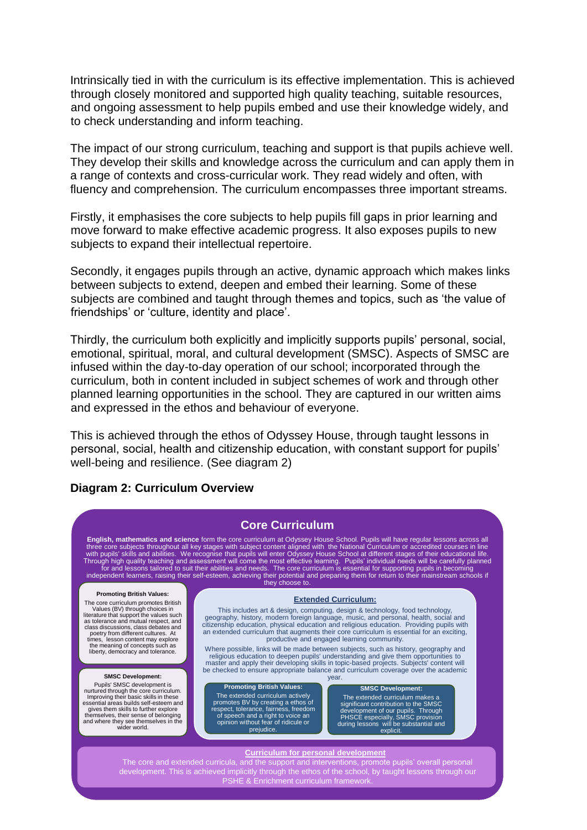Intrinsically tied in with the curriculum is its effective implementation. This is achieved through closely monitored and supported high quality teaching, suitable resources, and ongoing assessment to help pupils embed and use their knowledge widely, and to check understanding and inform teaching.

The impact of our strong curriculum, teaching and support is that pupils achieve well. They develop their skills and knowledge across the curriculum and can apply them in a range of contexts and cross-curricular work. They read widely and often, with fluency and comprehension. The curriculum encompasses three important streams.

Firstly, it emphasises the core subjects to help pupils fill gaps in prior learning and move forward to make effective academic progress. It also exposes pupils to new subjects to expand their intellectual repertoire.

Secondly, it engages pupils through an active, dynamic approach which makes links between subjects to extend, deepen and embed their learning. Some of these subjects are combined and taught through themes and topics, such as 'the value of friendships' or 'culture, identity and place'.

Thirdly, the curriculum both explicitly and implicitly supports pupils' personal, social, emotional, spiritual, moral, and cultural development (SMSC). Aspects of SMSC are infused within the day-to-day operation of our school; incorporated through the curriculum, both in content included in subject schemes of work and through other planned learning opportunities in the school. They are captured in our written aims and expressed in the ethos and behaviour of everyone.

This is achieved through the ethos of Odyssey House, through taught lessons in personal, social, health and citizenship education, with constant support for pupils' well-being and resilience. (See diagram 2)

#### **Diagram 2: Curriculum Overview**

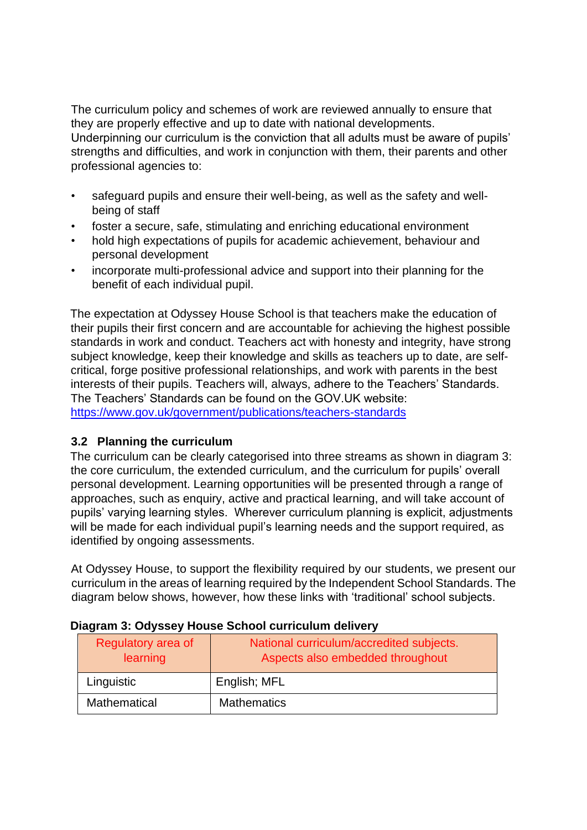The curriculum policy and schemes of work are reviewed annually to ensure that they are properly effective and up to date with national developments. Underpinning our curriculum is the conviction that all adults must be aware of pupils' strengths and difficulties, and work in conjunction with them, their parents and other professional agencies to:

- safeguard pupils and ensure their well-being, as well as the safety and wellbeing of staff
- foster a secure, safe, stimulating and enriching educational environment
- hold high expectations of pupils for academic achievement, behaviour and personal development
- incorporate multi-professional advice and support into their planning for the benefit of each individual pupil.

The expectation at Odyssey House School is that teachers make the education of their pupils their first concern and are accountable for achieving the highest possible standards in work and conduct. Teachers act with honesty and integrity, have strong subject knowledge, keep their knowledge and skills as teachers up to date, are selfcritical, forge positive professional relationships, and work with parents in the best interests of their pupils. Teachers will, always, adhere to the Teachers' Standards. The Teachers' Standards can be found on the GOV.UK website: <https://www.gov.uk/government/publications/teachers-standards>

#### **3.2 Planning the curriculum**

The curriculum can be clearly categorised into three streams as shown in diagram 3: the core curriculum, the extended curriculum, and the curriculum for pupils' overall personal development. Learning opportunities will be presented through a range of approaches, such as enquiry, active and practical learning, and will take account of pupils' varying learning styles. Wherever curriculum planning is explicit, adjustments will be made for each individual pupil's learning needs and the support required, as identified by ongoing assessments.

At Odyssey House, to support the flexibility required by our students, we present our curriculum in the areas of learning required by the Independent School Standards. The diagram below shows, however, how these links with 'traditional' school subjects.

| Regulatory area of<br>learning | National curriculum/accredited subjects.<br>Aspects also embedded throughout |
|--------------------------------|------------------------------------------------------------------------------|
| Linguistic                     | English; MFL                                                                 |
| Mathematical                   | <b>Mathematics</b>                                                           |

#### **Diagram 3: Odyssey House School curriculum delivery**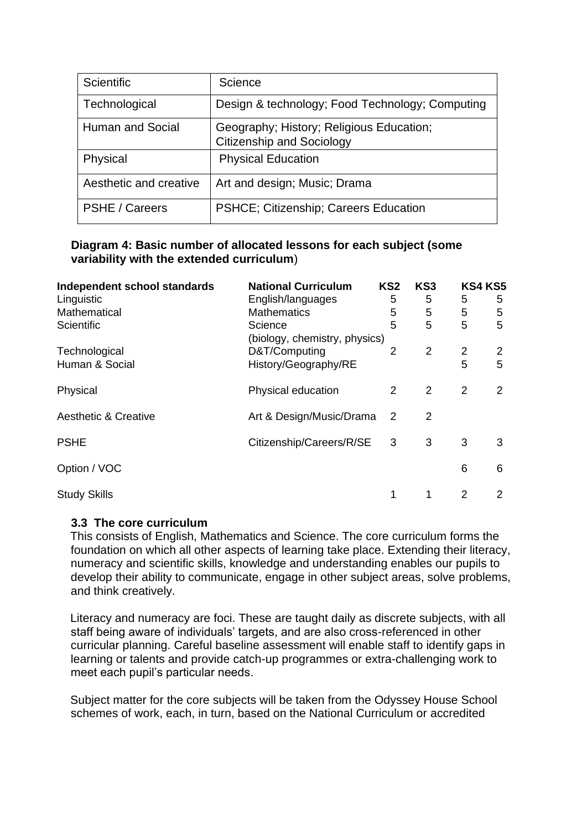| <b>Scientific</b>      | Science                                                                      |
|------------------------|------------------------------------------------------------------------------|
| Technological          | Design & technology; Food Technology; Computing                              |
| Human and Social       | Geography; History; Religious Education;<br><b>Citizenship and Sociology</b> |
| Physical               | <b>Physical Education</b>                                                    |
| Aesthetic and creative | Art and design; Music; Drama                                                 |
| <b>PSHE / Careers</b>  | PSHCE; Citizenship; Careers Education                                        |

#### **Diagram 4: Basic number of allocated lessons for each subject (some variability with the extended curriculum**)

| Independent school standards    | <b>National Curriculum</b>    | KS <sub>2</sub> | KS <sub>3</sub> |                | <b>KS4 KS5</b> |
|---------------------------------|-------------------------------|-----------------|-----------------|----------------|----------------|
| Linguistic                      | English/languages             | 5               | 5               | 5              | 5              |
| Mathematical                    | <b>Mathematics</b>            | 5               | 5               | 5              | 5              |
| <b>Scientific</b>               | Science                       | 5               | 5               | 5              | 5              |
|                                 | (biology, chemistry, physics) |                 |                 |                |                |
| Technological                   | D&T/Computing                 | 2               | $\overline{2}$  | $\overline{2}$ | 2              |
| Human & Social                  | History/Geography/RE          |                 |                 | 5              | 5              |
| Physical                        | Physical education            | 2               | 2               | $\overline{2}$ | 2              |
| <b>Aesthetic &amp; Creative</b> | Art & Design/Music/Drama      | 2               | 2               |                |                |
| <b>PSHE</b>                     | Citizenship/Careers/R/SE      | 3               | 3               | 3              | 3              |
| Option / VOC                    |                               |                 |                 | 6              | 6              |
| <b>Study Skills</b>             |                               | 1               | 1               | 2              | 2              |

#### **3.3 The core curriculum**

This consists of English, Mathematics and Science. The core curriculum forms the foundation on which all other aspects of learning take place. Extending their literacy, numeracy and scientific skills, knowledge and understanding enables our pupils to develop their ability to communicate, engage in other subject areas, solve problems, and think creatively.

Literacy and numeracy are foci. These are taught daily as discrete subjects, with all staff being aware of individuals' targets, and are also cross-referenced in other curricular planning. Careful baseline assessment will enable staff to identify gaps in learning or talents and provide catch-up programmes or extra-challenging work to meet each pupil's particular needs.

Subject matter for the core subjects will be taken from the Odyssey House School schemes of work, each, in turn, based on the National Curriculum or accredited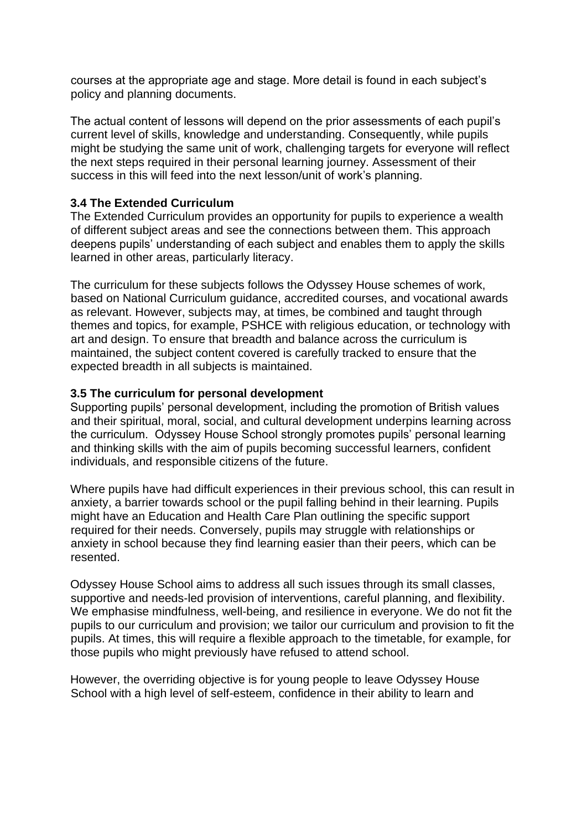courses at the appropriate age and stage. More detail is found in each subject's policy and planning documents.

The actual content of lessons will depend on the prior assessments of each pupil's current level of skills, knowledge and understanding. Consequently, while pupils might be studying the same unit of work, challenging targets for everyone will reflect the next steps required in their personal learning journey. Assessment of their success in this will feed into the next lesson/unit of work's planning.

#### **3.4 The Extended Curriculum**

The Extended Curriculum provides an opportunity for pupils to experience a wealth of different subject areas and see the connections between them. This approach deepens pupils' understanding of each subject and enables them to apply the skills learned in other areas, particularly literacy.

The curriculum for these subjects follows the Odyssey House schemes of work, based on National Curriculum guidance, accredited courses, and vocational awards as relevant. However, subjects may, at times, be combined and taught through themes and topics, for example, PSHCE with religious education, or technology with art and design. To ensure that breadth and balance across the curriculum is maintained, the subject content covered is carefully tracked to ensure that the expected breadth in all subjects is maintained.

#### **3.5 The curriculum for personal development**

Supporting pupils' personal development, including the promotion of British values and their spiritual, moral, social, and cultural development underpins learning across the curriculum. Odyssey House School strongly promotes pupils' personal learning and thinking skills with the aim of pupils becoming successful learners, confident individuals, and responsible citizens of the future.

Where pupils have had difficult experiences in their previous school, this can result in anxiety, a barrier towards school or the pupil falling behind in their learning. Pupils might have an Education and Health Care Plan outlining the specific support required for their needs. Conversely, pupils may struggle with relationships or anxiety in school because they find learning easier than their peers, which can be resented.

Odyssey House School aims to address all such issues through its small classes, supportive and needs-led provision of interventions, careful planning, and flexibility. We emphasise mindfulness, well-being, and resilience in everyone. We do not fit the pupils to our curriculum and provision; we tailor our curriculum and provision to fit the pupils. At times, this will require a flexible approach to the timetable, for example, for those pupils who might previously have refused to attend school.

However, the overriding objective is for young people to leave Odyssey House School with a high level of self-esteem, confidence in their ability to learn and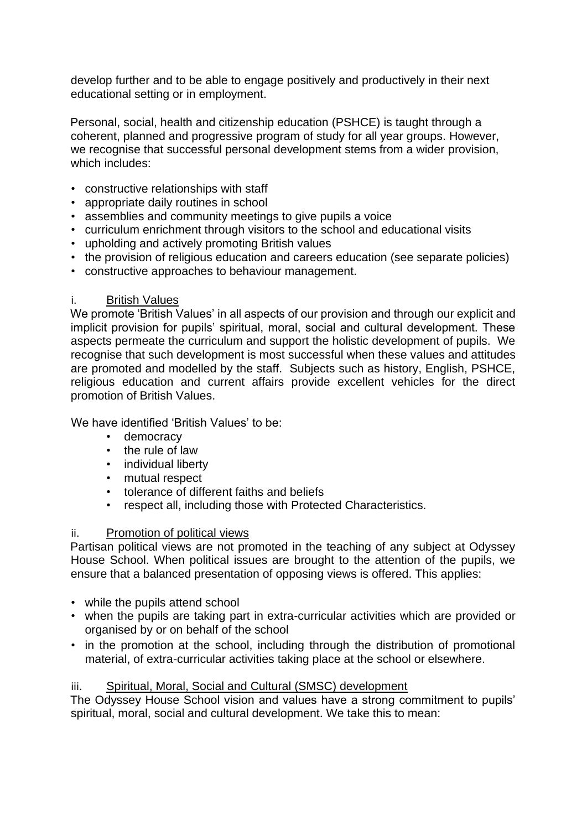develop further and to be able to engage positively and productively in their next educational setting or in employment.

Personal, social, health and citizenship education (PSHCE) is taught through a coherent, planned and progressive program of study for all year groups. However, we recognise that successful personal development stems from a wider provision, which includes:

- constructive relationships with staff
- appropriate daily routines in school
- assemblies and community meetings to give pupils a voice
- curriculum enrichment through visitors to the school and educational visits
- upholding and actively promoting British values
- the provision of religious education and careers education (see separate policies)
- constructive approaches to behaviour management.

#### i. British Values

We promote 'British Values' in all aspects of our provision and through our explicit and implicit provision for pupils' spiritual, moral, social and cultural development. These aspects permeate the curriculum and support the holistic development of pupils. We recognise that such development is most successful when these values and attitudes are promoted and modelled by the staff. Subjects such as history, English, PSHCE, religious education and current affairs provide excellent vehicles for the direct promotion of British Values.

We have identified 'British Values' to be:

- democracy
- the rule of law
- individual liberty
- mutual respect
- tolerance of different faiths and beliefs
- respect all, including those with Protected Characteristics.

#### ii. Promotion of political views

Partisan political views are not promoted in the teaching of any subject at Odyssey House School. When political issues are brought to the attention of the pupils, we ensure that a balanced presentation of opposing views is offered. This applies:

- while the pupils attend school
- when the pupils are taking part in extra-curricular activities which are provided or organised by or on behalf of the school
- in the promotion at the school, including through the distribution of promotional material, of extra-curricular activities taking place at the school or elsewhere.

#### iii. Spiritual, Moral, Social and Cultural (SMSC) development

The Odyssey House School vision and values have a strong commitment to pupils' spiritual, moral, social and cultural development. We take this to mean: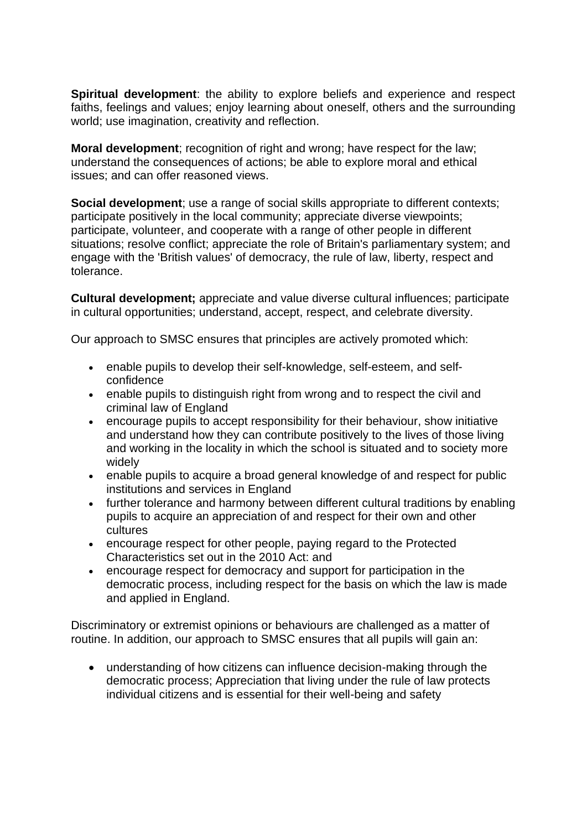**Spiritual development**: the ability to explore beliefs and experience and respect faiths, feelings and values; enjoy learning about oneself, others and the surrounding world; use imagination, creativity and reflection.

**Moral development**; recognition of right and wrong; have respect for the law; understand the consequences of actions; be able to explore moral and ethical issues; and can offer reasoned views.

**Social development**; use a range of social skills appropriate to different contexts; participate positively in the local community; appreciate diverse viewpoints; participate, volunteer, and cooperate with a range of other people in different situations; resolve conflict; appreciate the role of Britain's parliamentary system; and engage with the 'British values' of democracy, the rule of law, liberty, respect and tolerance.

**Cultural development;** appreciate and value diverse cultural influences; participate in cultural opportunities; understand, accept, respect, and celebrate diversity.

Our approach to SMSC ensures that principles are actively promoted which:

- enable pupils to develop their self-knowledge, self-esteem, and selfconfidence
- enable pupils to distinguish right from wrong and to respect the civil and criminal law of England
- encourage pupils to accept responsibility for their behaviour, show initiative and understand how they can contribute positively to the lives of those living and working in the locality in which the school is situated and to society more widely
- enable pupils to acquire a broad general knowledge of and respect for public institutions and services in England
- further tolerance and harmony between different cultural traditions by enabling pupils to acquire an appreciation of and respect for their own and other cultures
- encourage respect for other people, paying regard to the Protected Characteristics set out in the 2010 Act: and
- encourage respect for democracy and support for participation in the democratic process, including respect for the basis on which the law is made and applied in England.

Discriminatory or extremist opinions or behaviours are challenged as a matter of routine. In addition, our approach to SMSC ensures that all pupils will gain an:

• understanding of how citizens can influence decision-making through the democratic process; Appreciation that living under the rule of law protects individual citizens and is essential for their well-being and safety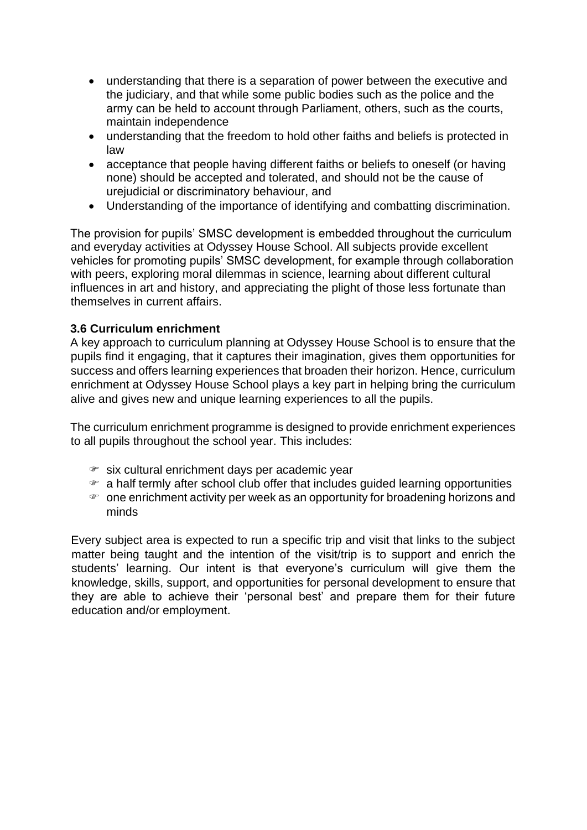- understanding that there is a separation of power between the executive and the judiciary, and that while some public bodies such as the police and the army can be held to account through Parliament, others, such as the courts, maintain independence
- understanding that the freedom to hold other faiths and beliefs is protected in law
- acceptance that people having different faiths or beliefs to oneself (or having none) should be accepted and tolerated, and should not be the cause of urejudicial or discriminatory behaviour, and
- Understanding of the importance of identifying and combatting discrimination.

The provision for pupils' SMSC development is embedded throughout the curriculum and everyday activities at Odyssey House School. All subjects provide excellent vehicles for promoting pupils' SMSC development, for example through collaboration with peers, exploring moral dilemmas in science, learning about different cultural influences in art and history, and appreciating the plight of those less fortunate than themselves in current affairs.

#### **3.6 Curriculum enrichment**

A key approach to curriculum planning at Odyssey House School is to ensure that the pupils find it engaging, that it captures their imagination, gives them opportunities for success and offers learning experiences that broaden their horizon. Hence, curriculum enrichment at Odyssey House School plays a key part in helping bring the curriculum alive and gives new and unique learning experiences to all the pupils.

The curriculum enrichment programme is designed to provide enrichment experiences to all pupils throughout the school year. This includes:

- six cultural enrichment days per academic year
- a half termly after school club offer that includes guided learning opportunities
- one enrichment activity per week as an opportunity for broadening horizons and minds

Every subject area is expected to run a specific trip and visit that links to the subject matter being taught and the intention of the visit/trip is to support and enrich the students' learning. Our intent is that everyone's curriculum will give them the knowledge, skills, support, and opportunities for personal development to ensure that they are able to achieve their 'personal best' and prepare them for their future education and/or employment.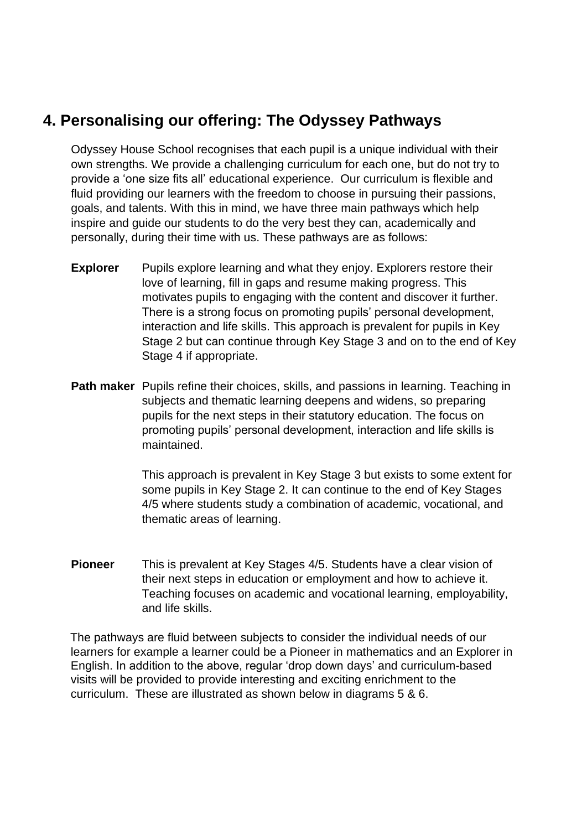# **4. Personalising our offering: The Odyssey Pathways**

Odyssey House School recognises that each pupil is a unique individual with their own strengths. We provide a challenging curriculum for each one, but do not try to provide a 'one size fits all' educational experience. Our curriculum is flexible and fluid providing our learners with the freedom to choose in pursuing their passions, goals, and talents. With this in mind, we have three main pathways which help inspire and guide our students to do the very best they can, academically and personally, during their time with us. These pathways are as follows:

- **Explorer** Pupils explore learning and what they enjoy. Explorers restore their love of learning, fill in gaps and resume making progress. This motivates pupils to engaging with the content and discover it further. There is a strong focus on promoting pupils' personal development, interaction and life skills. This approach is prevalent for pupils in Key Stage 2 but can continue through Key Stage 3 and on to the end of Key Stage 4 if appropriate.
- **Path maker** Pupils refine their choices, skills, and passions in learning. Teaching in subjects and thematic learning deepens and widens, so preparing pupils for the next steps in their statutory education. The focus on promoting pupils' personal development, interaction and life skills is maintained.

This approach is prevalent in Key Stage 3 but exists to some extent for some pupils in Key Stage 2. It can continue to the end of Key Stages 4/5 where students study a combination of academic, vocational, and thematic areas of learning.

**Pioneer** This is prevalent at Key Stages 4/5. Students have a clear vision of their next steps in education or employment and how to achieve it. Teaching focuses on academic and vocational learning, employability, and life skills.

The pathways are fluid between subjects to consider the individual needs of our learners for example a learner could be a Pioneer in mathematics and an Explorer in English. In addition to the above, regular 'drop down days' and curriculum-based visits will be provided to provide interesting and exciting enrichment to the curriculum. These are illustrated as shown below in diagrams 5 & 6.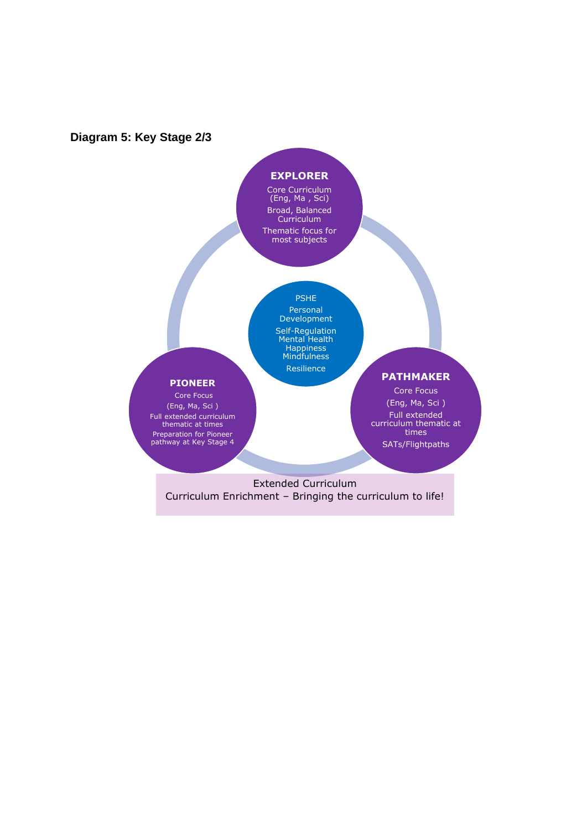#### **Diagram 5: Key Stage 2/3**

#### **EXPLORER**

Core Curriculum (Eng, Ma , Sci) Broad, Balanced Curriculum Thematic focus for most subjects

# PSHE

Personal Development Self-Regulation Mental Health Happiness Mindfulness Resilience

#### **PIONEER**

Core Focus (Eng, Ma, Sci ) Full extended curriculum thematic at times Preparation for Pioneer pathway at Key Stage 4

#### **PATHMAKER**

Core Focus (Eng, Ma, Sci ) Full extended curriculum thematic at times SATs/Flightpaths

Extended Curriculum Curriculum Enrichment – Bringing the curriculum to life!